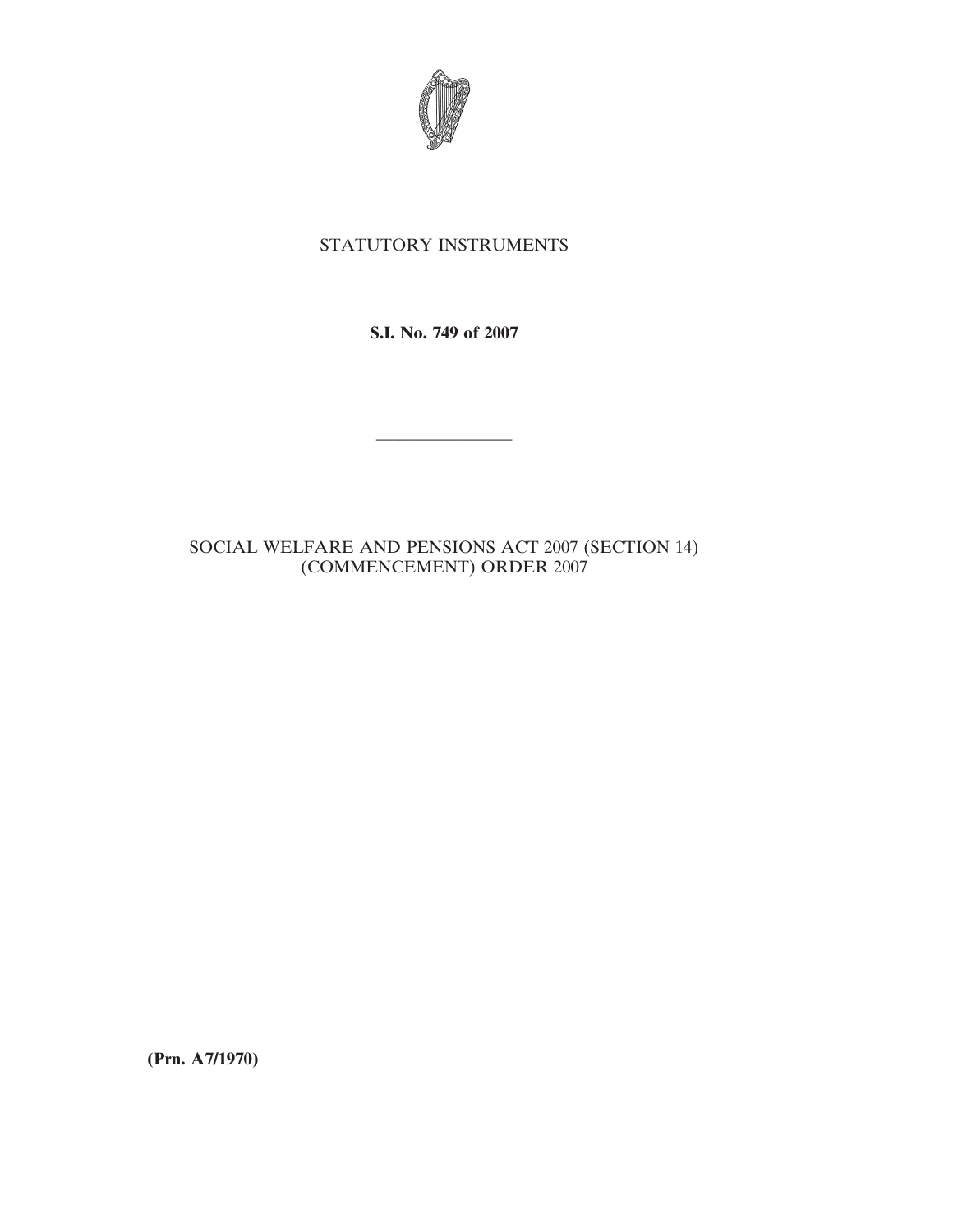

## STATUTORY INSTRUMENTS

**S.I. No. 749 of 2007**

————————

## SOCIAL WELFARE AND PENSIONS ACT 2007 (SECTION 14) (COMMENCEMENT) ORDER 2007

**(Prn. A7/1970)**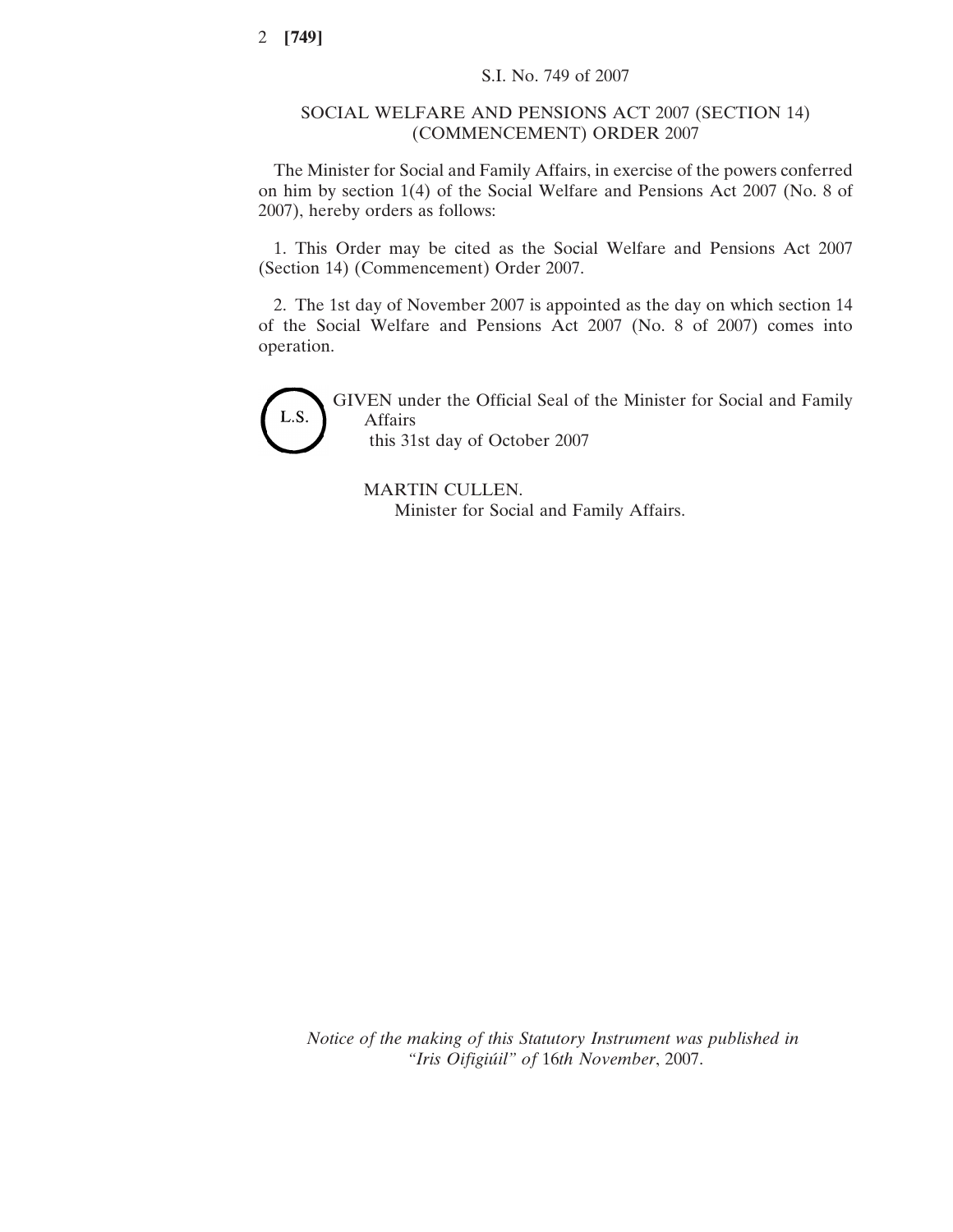## SOCIAL WELFARE AND PENSIONS ACT 2007 (SECTION 14) (COMMENCEMENT) ORDER 2007

The Minister for Social and Family Affairs, in exercise of the powers conferred on him by section 1(4) of the Social Welfare and Pensions Act 2007 (No. 8 of 2007), hereby orders as follows:

1. This Order may be cited as the Social Welfare and Pensions Act 2007 (Section 14) (Commencement) Order 2007.

2. The 1st day of November 2007 is appointed as the day on which section 14 of the Social Welfare and Pensions Act 2007 (No. 8 of 2007) comes into operation.



GIVEN under the Official Seal of the Minister for Social and Family Affairs this 31st day of October 2007

MARTIN CULLEN. Minister for Social and Family Affairs.

*Notice of the making of this Statutory Instrument was published in "Iris Oifigiu´il" of* 16*th November*, 2007.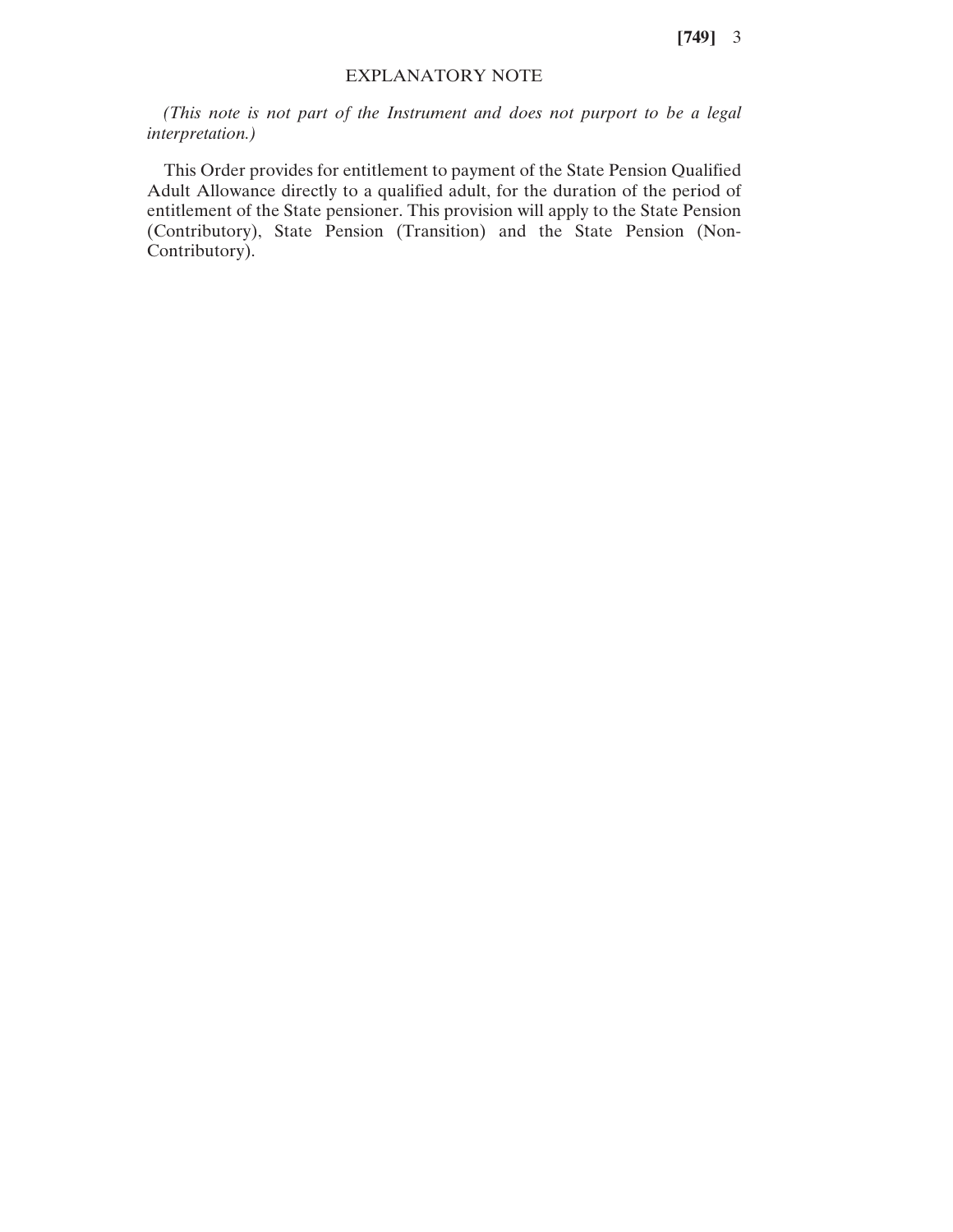**[749]** 3

## EXPLANATORY NOTE

*(This note is not part of the Instrument and does not purport to be a legal interpretation.)*

This Order provides for entitlement to payment of the State Pension Qualified Adult Allowance directly to a qualified adult, for the duration of the period of entitlement of the State pensioner. This provision will apply to the State Pension (Contributory), State Pension (Transition) and the State Pension (Non-Contributory).